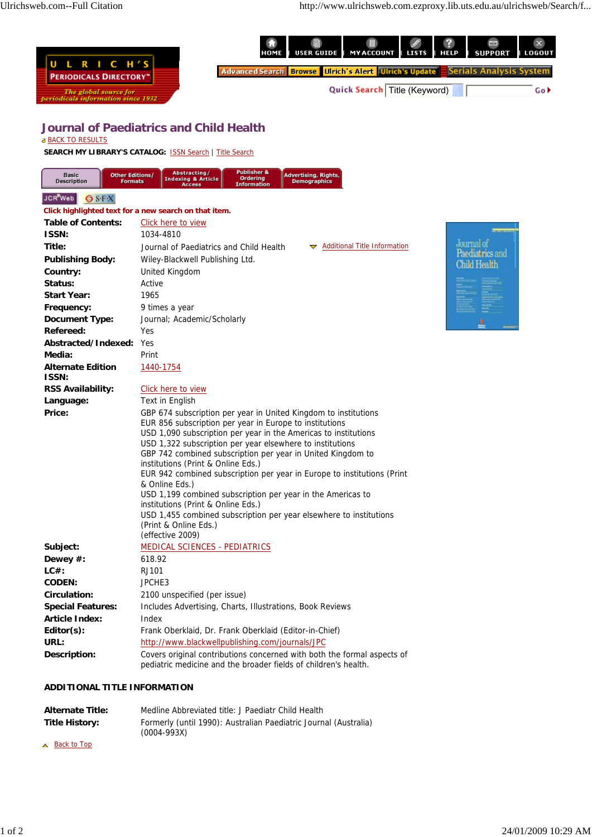|                                                             | x,<br>M<br><b>USER GUIDE</b><br><b>MY ACCOUNT</b><br><b>LOGOUT</b><br>HOME<br><b>LISTS</b><br><b>HELP</b><br><b>SUPPORT</b>        |
|-------------------------------------------------------------|------------------------------------------------------------------------------------------------------------------------------------|
| R I C H'S<br>U                                              | <b>Ulrich's Alert</b><br><b>Advanced Search</b><br><b>Browse</b><br><b>Ulrich's Update</b><br><b>Serials Analysis System</b>       |
| <b>PERIODICALS DIRECTORY</b>                                |                                                                                                                                    |
| The global source for<br>periodicals information since 1932 | Quick Search   Title (Keyword)<br>Go <b>F</b>                                                                                      |
|                                                             |                                                                                                                                    |
|                                                             | <b>Journal of Paediatrics and Child Health</b>                                                                                     |
| <b>BACK TO RESULTS</b>                                      |                                                                                                                                    |
|                                                             | SEARCH MY LIBRARY'S CATALOG: ISSN Search   Title Search                                                                            |
|                                                             |                                                                                                                                    |
| Basic<br>Other Editions/<br>Description<br><b>Formats</b>   | <b>Publisher &amp;</b><br>Abstracting/<br>Advertising, Rights,<br>Ordering<br><b>Indexing &amp; Article</b><br><b>Demographics</b> |
|                                                             | <b>Information</b><br>Access                                                                                                       |
| JCR <sup>*</sup> Web<br><b>S</b> SFX                        |                                                                                                                                    |
| <b>Table of Contents:</b>                                   | Click highlighted text for a new search on that item.<br>Click here to view                                                        |
| <b>ISSN:</b>                                                | 1034-4810                                                                                                                          |
| Title:                                                      | Journal of<br>Journal of Paediatrics and Child Health<br><b>Additional Title Information</b>                                       |
| <b>Publishing Body:</b>                                     | Paediatrics and<br>Wiley-Blackwell Publishing Ltd.                                                                                 |
| Country:                                                    | <b>Child Health</b><br>United Kingdom                                                                                              |
| Status:                                                     | Active                                                                                                                             |
| <b>Start Year:</b>                                          | 1965                                                                                                                               |
| Frequency:                                                  | 9 times a year                                                                                                                     |
| <b>Document Type:</b>                                       | Journal; Academic/Scholarly                                                                                                        |
| Refereed:                                                   | Yes                                                                                                                                |
| Abstracted/Indexed:                                         | Yes                                                                                                                                |
| Media:<br><b>Alternate Edition</b>                          | Print                                                                                                                              |
| <b>ISSN:</b>                                                | 1440-1754                                                                                                                          |
| <b>RSS Availability:</b>                                    | Click here to view                                                                                                                 |
| Language:                                                   | Text in English                                                                                                                    |
| Price:                                                      | GBP 674 subscription per year in United Kingdom to institutions                                                                    |
|                                                             | EUR 856 subscription per year in Europe to institutions                                                                            |
|                                                             | USD 1,090 subscription per year in the Americas to institutions<br>USD 1,322 subscription per year elsewhere to institutions       |
|                                                             | GBP 742 combined subscription per year in United Kingdom to                                                                        |
|                                                             | institutions (Print & Online Eds.)                                                                                                 |
|                                                             | EUR 942 combined subscription per year in Europe to institutions (Print<br>& Online Eds.)                                          |
|                                                             | USD 1,199 combined subscription per year in the Americas to                                                                        |
|                                                             | institutions (Print & Online Eds.)                                                                                                 |
|                                                             | USD 1,455 combined subscription per year elsewhere to institutions<br>(Print & Online Eds.)                                        |
|                                                             | (effective 2009)                                                                                                                   |
| Subject:                                                    | <b>MEDICAL SCIENCES - PEDIATRICS</b>                                                                                               |
| Dewey #:                                                    | 618.92                                                                                                                             |
| $LC#$ :                                                     | RJ101                                                                                                                              |
| <b>CODEN:</b>                                               | JPCHE3                                                                                                                             |
| Circulation:                                                | 2100 unspecified (per issue)                                                                                                       |
| <b>Special Features:</b><br><b>Article Index:</b>           | Includes Advertising, Charts, Illustrations, Book Reviews<br>Index                                                                 |
| Editor(s):                                                  | Frank Oberklaid, Dr. Frank Oberklaid (Editor-in-Chief)                                                                             |
| URL:                                                        | http://www.blackwellpublishing.com/journals/JPC                                                                                    |
| Description:                                                | Covers original contributions concerned with both the formal aspects of                                                            |
|                                                             | pediatric medicine and the broader fields of children's health.                                                                    |
| ADDITIONAL TITLE INFORMATION                                |                                                                                                                                    |
|                                                             |                                                                                                                                    |

| <b>Alternate Title:</b> | Medline Abbreviated title: J Paediatr Child Health                                  |
|-------------------------|-------------------------------------------------------------------------------------|
| <b>Title History:</b>   | Formerly (until 1990): Australian Paediatric Journal (Australia)<br>$(0004 - 993X)$ |

**Back to Top**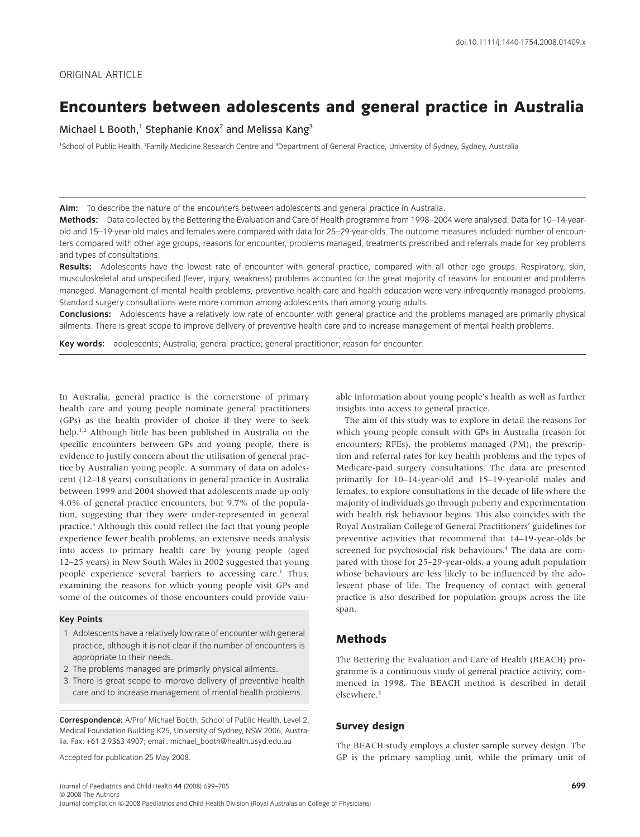# **Encounters between adolescents and general practice in Australia**

### Michael L Booth,<sup>1</sup> Stephanie Knox<sup>2</sup> and Melissa Kang<sup>3</sup>

<sup>1</sup>School of Public Health, <sup>2</sup>Family Medicine Research Centre and <sup>3</sup>Department of General Practice, University of Sydney, Sydney, Australia

**Aim:** To describe the nature of the encounters between adolescents and general practice in Australia.

**Methods:** Data collected by the Bettering the Evaluation and Care of Health programme from 1998–2004 were analysed. Data for 10–14-yearold and 15–19-year-old males and females were compared with data for 25–29-year-olds. The outcome measures included: number of encounters compared with other age groups, reasons for encounter, problems managed, treatments prescribed and referrals made for key problems and types of consultations.

**Results:** Adolescents have the lowest rate of encounter with general practice, compared with all other age groups. Respiratory, skin, musculoskeletal and unspecified (fever, injury, weakness) problems accounted for the great majority of reasons for encounter and problems managed. Management of mental health problems, preventive health care and health education were very infrequently managed problems. Standard surgery consultations were more common among adolescents than among young adults.

**Conclusions:** Adolescents have a relatively low rate of encounter with general practice and the problems managed are primarily physical ailments. There is great scope to improve delivery of preventive health care and to increase management of mental health problems.

**Key words:** adolescents; Australia; general practice; general practitioner; reason for encounter.

In Australia, general practice is the cornerstone of primary health care and young people nominate general practitioners (GPs) as the health provider of choice if they were to seek help.1,2 Although little has been published in Australia on the specific encounters between GPs and young people, there is evidence to justify concern about the utilisation of general practice by Australian young people. A summary of data on adolescent (12–18 years) consultations in general practice in Australia between 1999 and 2004 showed that adolescents made up only 4.0% of general practice encounters, but 9.7% of the population, suggesting that they were under-represented in general practice.3 Although this could reflect the fact that young people experience fewer health problems, an extensive needs analysis into access to primary health care by young people (aged 12–25 years) in New South Wales in 2002 suggested that young people experience several barriers to accessing care.<sup>1</sup> Thus, examining the reasons for which young people visit GPs and some of the outcomes of those encounters could provide valu-

#### **Key Points**

- 1 Adolescents have a relatively low rate of encounter with general practice, although it is not clear if the number of encounters is appropriate to their needs.
- 2 The problems managed are primarily physical ailments.
- 3 There is great scope to improve delivery of preventive health care and to increase management of mental health problems.

**Correspondence:** A/Prof Michael Booth, School of Public Health, Level 2, Medical Foundation Building K25, University of Sydney, NSW 2006, Australia. Fax: +61 2 9363 4907; email: michael[\\_booth@health.usyd.edu.au](mailto:booth@health.usyd.edu.au)

Accepted for publication 25 May 2008.

able information about young people's health as well as further insights into access to general practice.

The aim of this study was to explore in detail the reasons for which young people consult with GPs in Australia (reason for encounters; RFEs), the problems managed (PM), the prescription and referral rates for key health problems and the types of Medicare-paid surgery consultations. The data are presented primarily for 10–14-year-old and 15–19-year-old males and females, to explore consultations in the decade of life where the majority of individuals go through puberty and experimentation with health risk behaviour begins. This also coincides with the Royal Australian College of General Practitioners' guidelines for preventive activities that recommend that 14–19-year-olds be screened for psychosocial risk behaviours.<sup>4</sup> The data are compared with those for 25–29-year-olds, a young adult population whose behaviours are less likely to be influenced by the adolescent phase of life. The frequency of contact with general practice is also described for population groups across the life span.

#### **Methods**

The Bettering the Evaluation and Care of Health (BEACH) programme is a continuous study of general practice activity, commenced in 1998. The BEACH method is described in detail elsewhere.5

#### **Survey design**

The BEACH study employs a cluster sample survey design. The GP is the primary sampling unit, while the primary unit of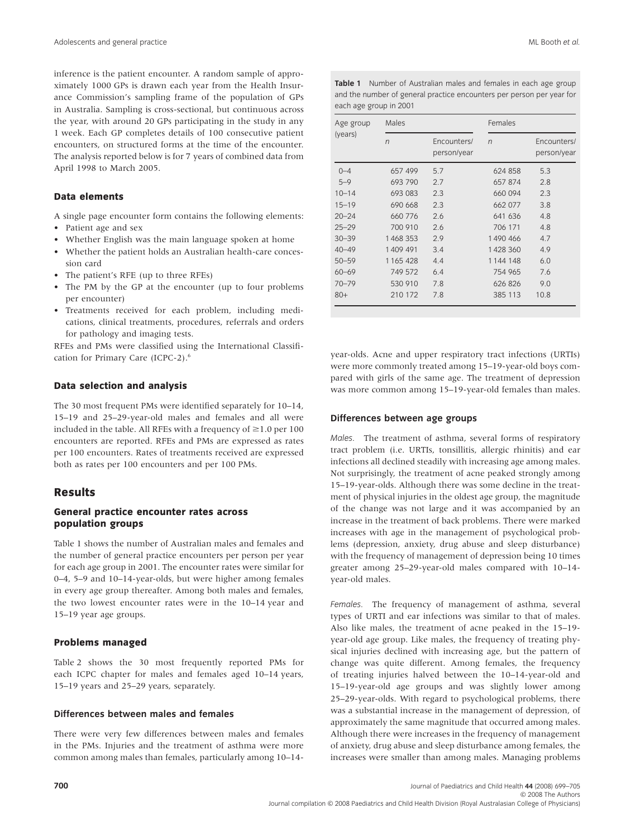inference is the patient encounter. A random sample of approximately 1000 GPs is drawn each year from the Health Insurance Commission's sampling frame of the population of GPs in Australia. Sampling is cross-sectional, but continuous across the year, with around 20 GPs participating in the study in any 1 week. Each GP completes details of 100 consecutive patient encounters, on structured forms at the time of the encounter. The analysis reported below is for 7 years of combined data from April 1998 to March 2005.

#### **Data elements**

A single page encounter form contains the following elements:

- Patient age and sex
- Whether English was the main language spoken at home
- Whether the patient holds an Australian health-care concession card
- The patient's RFE (up to three RFEs)
- The PM by the GP at the encounter (up to four problems per encounter)
- Treatments received for each problem, including medications, clinical treatments, procedures, referrals and orders for pathology and imaging tests.

RFEs and PMs were classified using the International Classification for Primary Care (ICPC-2).6

#### **Data selection and analysis**

The 30 most frequent PMs were identified separately for 10–14, 15–19 and 25–29-year-old males and females and all were included in the table. All RFEs with a frequency of  $\geq$  1.0 per 100 encounters are reported. RFEs and PMs are expressed as rates per 100 encounters. Rates of treatments received are expressed both as rates per 100 encounters and per 100 PMs.

### **Results**

#### **General practice encounter rates across population groups**

Table 1 shows the number of Australian males and females and the number of general practice encounters per person per year for each age group in 2001. The encounter rates were similar for 0–4, 5–9 and 10–14-year-olds, but were higher among females in every age group thereafter. Among both males and females, the two lowest encounter rates were in the 10–14 year and 15–19 year age groups.

#### **Problems managed**

Table 2 shows the 30 most frequently reported PMs for each ICPC chapter for males and females aged 10–14 years, 15–19 years and 25–29 years, separately.

#### **Differences between males and females**

There were very few differences between males and females in the PMs. Injuries and the treatment of asthma were more common among males than females, particularly among 10–14each age group in 2001

**Table 1** Number of Australian males and females in each age group

| Age group | Males      |                            | Females    |                            |  |  |
|-----------|------------|----------------------------|------------|----------------------------|--|--|
| (years)   | $\sqrt{n}$ | Encounters/<br>person/year | $\sqrt{n}$ | Encounters/<br>person/year |  |  |
| $0 - 4$   | 657 499    | 5.7                        | 624 858    | 5.3                        |  |  |
| $5 - 9$   | 693 790    | 2.7                        | 657 874    | 2.8                        |  |  |
| $10 - 14$ | 693 083    | 2.3                        | 660 094    | 2.3                        |  |  |
| $15 - 19$ | 690 668    | 2.3                        | 662 077    | 3.8                        |  |  |
| $20 - 24$ | 660 776    | 2.6                        | 641 636    | 4.8                        |  |  |
| $25 - 29$ | 700 910    | 2.6                        | 706 171    | 4.8                        |  |  |
| $30 - 39$ | 1468353    | 2.9                        | 1490466    | 4.7                        |  |  |
| $40 - 49$ | 1409491    | 3.4                        | 1428 360   | 4.9                        |  |  |
| $50 - 59$ | 1165428    | 4.4                        | 1144 148   | 6.0                        |  |  |
| $60 - 69$ | 749 572    | 6.4                        | 754 965    | 7.6                        |  |  |
| $70 - 79$ | 530 910    | 7.8                        | 626 826    | 9.0                        |  |  |
| $80+$     | 210 172    | 7.8                        | 385 113    | 10.8                       |  |  |

year-olds. Acne and upper respiratory tract infections (URTIs) were more commonly treated among 15–19-year-old boys compared with girls of the same age. The treatment of depression was more common among 15–19-year-old females than males.

#### **Differences between age groups**

*Males.* The treatment of asthma, several forms of respiratory tract problem (i.e. URTIs, tonsillitis, allergic rhinitis) and ear infections all declined steadily with increasing age among males. Not surprisingly, the treatment of acne peaked strongly among 15–19-year-olds. Although there was some decline in the treatment of physical injuries in the oldest age group, the magnitude of the change was not large and it was accompanied by an increase in the treatment of back problems. There were marked increases with age in the management of psychological problems (depression, anxiety, drug abuse and sleep disturbance) with the frequency of management of depression being 10 times greater among 25–29-year-old males compared with 10–14 year-old males.

*Females.* The frequency of management of asthma, several types of URTI and ear infections was similar to that of males. Also like males, the treatment of acne peaked in the 15–19 year-old age group. Like males, the frequency of treating physical injuries declined with increasing age, but the pattern of change was quite different. Among females, the frequency of treating injuries halved between the 10–14-year-old and 15–19-year-old age groups and was slightly lower among 25–29-year-olds. With regard to psychological problems, there was a substantial increase in the management of depression, of approximately the same magnitude that occurred among males. Although there were increases in the frequency of management of anxiety, drug abuse and sleep disturbance among females, the increases were smaller than among males. Managing problems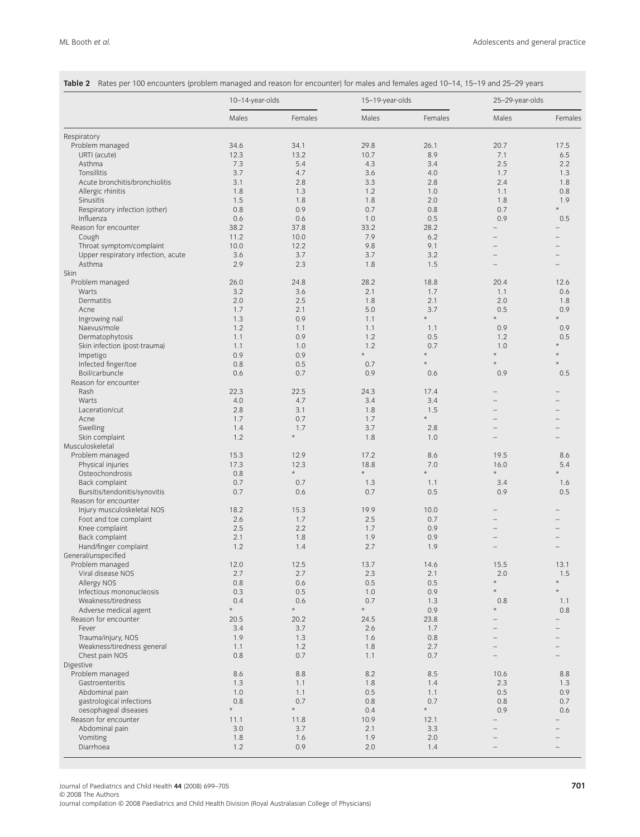|                                                 |              | 10-14-year-olds<br>15-19-year-olds |              |                | 25-29-year-olds          |                          |
|-------------------------------------------------|--------------|------------------------------------|--------------|----------------|--------------------------|--------------------------|
|                                                 | Males        | Females                            | Males        | Females        | Males                    | Females                  |
| Respiratory                                     |              |                                    |              |                |                          |                          |
| Problem managed                                 | 34.6         | 34.1                               | 29.8         | 26.1           | 20.7                     | 17.5                     |
| URTI (acute)                                    | 12.3         | 13.2                               | 10.7         | 8.9            | 7.1                      | 6.5                      |
| Asthma                                          | 7.3          | 5.4                                | 4.3          | 3.4            | 2.5                      | 2.2                      |
| Tonsillitis                                     | 3.7          | 4.7                                | 3.6          | 4.0            | 1.7                      | 1.3                      |
| Acute bronchitis/bronchiolitis                  | 3.1          | 2.8                                | 3.3          | 2.8            | 2.4                      | 1.8                      |
| Allergic rhinitis                               | 1.8          | 1.3                                | 1.2          | 1.0            | 1.1                      | 0.8                      |
| Sinusitis                                       | 1.5<br>0.8   | 1.8<br>0.9                         | 1.8<br>0.7   | 2.0<br>0.8     | 1.8<br>0.7               | 1.9<br>$^\star$          |
| Respiratory infection (other)<br>Influenza      | 0.6          | 0.6                                | 1.0          | 0.5            | 0.9                      | 0.5                      |
| Reason for encounter                            | 38.2         | 37.8                               | 33.2         | 28.2           | $\equiv$                 |                          |
| Cough                                           | 11.2         | 10.0                               | 7.9          | 6.2            | $\qquad \qquad -$        | $\overline{\phantom{0}}$ |
| Throat symptom/complaint                        | 10.0         | 12.2                               | 9.8          | 9.1            | $\qquad \qquad -$        | $\qquad \qquad -$        |
| Upper respiratory infection, acute              | 3.6          | 3.7                                | 3.7          | 3.2            | $\qquad \qquad -$        | $\qquad \qquad -$        |
| Asthma                                          | 2.9          | 2.3                                | 1.8          | 1.5            | $\overline{\phantom{0}}$ |                          |
| Skin                                            |              |                                    |              |                |                          |                          |
| Problem managed                                 | 26.0         | 24.8                               | 28.2         | 18.8           | 20.4                     | 12.6                     |
| Warts                                           | 3.2          | 3.6                                | 2.1          | 1.7            | 1.1                      | 0.6                      |
| Dermatitis                                      | 2.0          | 2.5                                | 1.8          | 2.1            | 2.0                      | 1.8                      |
| Acne                                            | 1.7          | 2.1                                | 5.0          | 3.7<br>$\star$ | 0.5<br>$^\star$          | 0.9<br>$^{\star}$        |
| Ingrowing nail                                  | 1.3          | 0.9                                | 1.1          |                |                          |                          |
| Naevus/mole                                     | 1.2<br>1.1   | 1.1<br>0.9                         | 1.1<br>1.2   | 1.1<br>0.5     | 0.9<br>1.2               | 0.9<br>0.5               |
| Dermatophytosis<br>Skin infection (post-trauma) | 1.1          | 1.0                                | 1.2          | 0.7            | 1.0                      | $^{\star}$               |
| Impetigo                                        | 0.9          | 0.9                                | $\star$      | $\star$        | $^\star$                 | $\star$                  |
| Infected finger/toe                             | 0.8          | 0.5                                | 0.7          | $\star$        | $\star$                  | $\star$                  |
| Boil/carbuncle                                  | 0.6          | 0.7                                | 0.9          | 0.6            | 0.9                      | 0.5                      |
| Reason for encounter                            |              |                                    |              |                |                          |                          |
| Rash                                            | 22.3         | 22.5                               | 24.3         | 17.4           |                          |                          |
| Warts                                           | 4.0          | 4.7                                | 3.4          | 3.4            | $\overline{\phantom{0}}$ |                          |
| Laceration/cut                                  | 2.8          | 3.1                                | 1.8          | 1.5            | $\qquad \qquad -$        | $\equiv$                 |
| Acne                                            | 1.7          | 0.7                                | 1.7          | $\star$        |                          |                          |
| Swelling                                        | 1.4          | 1.7                                | 3.7          | 2.8            |                          |                          |
| Skin complaint                                  | 1.2          | $^\star$                           | 1.8          | 1.0            | $\overline{\phantom{0}}$ |                          |
| Musculoskeletal                                 |              |                                    |              |                |                          |                          |
| Problem managed<br>Physical injuries            | 15.3<br>17.3 | 12.9<br>12.3                       | 17.2<br>18.8 | 8.6<br>7.0     | 19.5<br>16.0             | 8.6<br>5.4               |
| Osteochondrosis                                 | 0.8          | $^\star$                           | $^\star$     | $\star$        | $^\star$                 | $\star$                  |
| Back complaint                                  | 0.7          | 0.7                                | 1.3          | 1.1            | 3.4                      | 1.6                      |
| Bursitis/tendonitis/synovitis                   | 0.7          | 0.6                                | 0.7          | 0.5            | 0.9                      | 0.5                      |
| Reason for encounter                            |              |                                    |              |                |                          |                          |
| Injury musculoskeletal NOS                      | 18.2         | 15.3                               | 19.9         | 10.0           | $\qquad \qquad -$        | -                        |
| Foot and toe complaint                          | 2.6          | 1.7                                | 2.5          | 0.7            | $\qquad \qquad -$        | $\qquad \qquad -$        |
| Knee complaint                                  | 2.5          | 2.2                                | 1.7          | 0.9            |                          |                          |
| Back complaint                                  | 2.1          | 1.8                                | 1.9          | 0.9            | $\equiv$                 | $\equiv$                 |
| Hand/finger complaint                           | 1.2          | 1.4                                | 2.7          | 1.9            | $\overline{\phantom{0}}$ |                          |
| General/unspecified                             |              |                                    |              |                |                          |                          |
| Problem managed                                 | 12.0         | 12.5                               | 13.7         | 14.6           | 15.5                     | 13.1                     |
| Viral disease NOS                               | 2.7<br>0.8   | 2.7                                | 2.3<br>0.5   | 2.1            | 2.0<br>$^\star$          | 1.5<br>$^{\star}$        |
| Allergy NOS<br>Infectious mononucleosis         | 0.3          | 0.6<br>0.5                         | 1.0          | 0.5<br>0.9     | $^\star$                 | $^{\star}$               |
| Weakness/tiredness                              | 0.4          | 0.6                                | 0.7          | 1.3            | 0.8                      | 1.1                      |
| Adverse medical agent                           | $^\star$     | $^\star$                           | $^\star$     | 0.9            | $^\star$                 | 0.8                      |
| Reason for encounter                            | 20.5         | 20.2                               | 24.5         | 23.8           | $\equiv$                 | $\overline{\phantom{0}}$ |
| Fever                                           | 3.4          | 3.7                                | 2.6          | 1.7            | $\qquad \qquad -$        | -                        |
| Trauma/injury, NOS                              | 1.9          | 1.3                                | 1.6          | 0.8            |                          |                          |
| Weakness/tiredness general                      | 1.1          | 1.2                                | 1.8          | 2.7            | $\equiv$                 |                          |
| Chest pain NOS                                  | 0.8          | 0.7                                | 1.1          | 0.7            | $\overline{\phantom{0}}$ |                          |
| Digestive                                       |              |                                    |              |                |                          |                          |
| Problem managed                                 | 8.6          | 8.8                                | 8.2          | 8.5            | 10.6                     | 8.8                      |
| Gastroenteritis                                 | 1.3          | 1.1                                | 1.8          | 1.4            | 2.3                      | 1.3                      |
| Abdominal pain                                  | 1.0          | 1.1                                | 0.5          | 1.1            | 0.5                      | 0.9                      |
| gastrological infections                        | 0.8          | 0.7                                | 0.8          | 0.7            | 0.8                      | 0.7                      |
| oesophageal diseases                            | $^\star$     | $^\star$                           | 0.4          | $^\star$       | 0.9                      | 0.6                      |
| Reason for encounter                            | 11.1         | 11.8                               | 10.9         | 12.1           |                          |                          |
| Abdominal pain<br>Vomiting                      | 3.0<br>1.8   | 3.7<br>1.6                         | 2.1<br>1.9   | 3.3<br>2.0     | $\qquad \qquad -$        |                          |
| Diarrhoea                                       | 1.2          | 0.9                                | 2.0          | 1.4            | $\overline{\phantom{0}}$ | $=$                      |
|                                                 |              |                                    |              |                |                          |                          |

# **Table 2** Rates per 100 encounters (problem managed and reason for encounter) for males and females aged 10–14, 15–19 and 25–29 years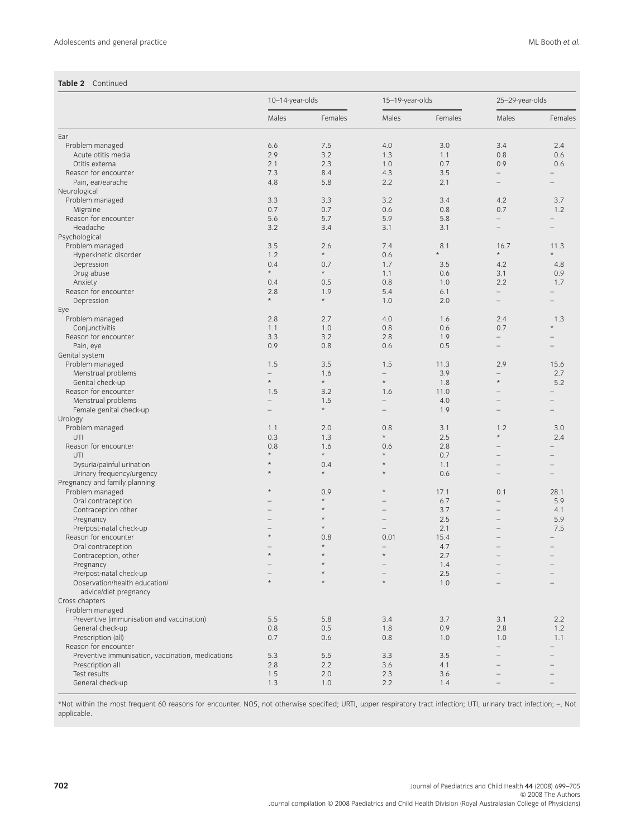#### **Table 2** Continued

|                                                   | 10-14-year-olds          |                | 15-19-year-olds          |            | 25-29-year-olds                        |                          |
|---------------------------------------------------|--------------------------|----------------|--------------------------|------------|----------------------------------------|--------------------------|
|                                                   | Males                    | Females        | Males                    | Females    | Males                                  | Females                  |
| Ear                                               |                          |                |                          |            |                                        |                          |
| Problem managed                                   | 6.6                      | 7.5            | 4.0                      | 3.0        | 3.4                                    | 2.4                      |
| Acute otitis media                                | 2.9                      | 3.2            | 1.3                      | 1.1        | 0.8                                    | 0.6                      |
| Otitis externa                                    | 2.1                      | 2.3            | 1.0                      | 0.7        | 0.9                                    | 0.6                      |
| Reason for encounter                              | 7.3                      | 8.4            | 4.3                      | 3.5        | $\overline{\phantom{0}}$               |                          |
| Pain, ear/earache                                 | 4.8                      | 5.8            | 2.2                      | 2.1        | $\overline{\phantom{0}}$               |                          |
| Neurological                                      |                          |                |                          |            |                                        |                          |
| Problem managed<br>Migraine                       | 3.3<br>0.7               | 3.3<br>0.7     | 3.2<br>0.6               | 3.4<br>0.8 | 4.2<br>0.7                             | 3.7<br>1.2               |
| Reason for encounter                              | 5.6                      | 5.7            | 5.9                      | 5.8        | $\qquad \qquad -$                      | $\overline{\phantom{0}}$ |
| Headache                                          | 3.2                      | 3.4            | 3.1                      | 3.1        | $\overline{\phantom{0}}$               | $\overline{\phantom{0}}$ |
| Psychological                                     |                          |                |                          |            |                                        |                          |
| Problem managed                                   | 3.5                      | 2.6            | 7.4                      | 8.1        | 16.7                                   | 11.3                     |
| Hyperkinetic disorder                             | 1.2                      | $\star$        | 0.6                      | $\star$    | $^\star$                               | $\star$                  |
| Depression                                        | 0.4                      | 0.7            | 1.7                      | 3.5        | 4.2                                    | 4.8                      |
| Drug abuse                                        | $^\star$                 | $^\star$       | 1.1                      | 0.6        | 3.1                                    | 0.9                      |
| Anxiety                                           | 0.4                      | 0.5            | 0.8                      | 1.0        | 2.2                                    | 1.7                      |
| Reason for encounter                              | 2.8                      | 1.9            | 5.4                      | 6.1        | $\overline{\phantom{0}}$               | —                        |
| Depression                                        | $^\star$                 | $^\star$       | 1.0                      | 2.0        | $\qquad \qquad -$                      |                          |
| Eye                                               |                          |                |                          |            |                                        |                          |
| Problem managed                                   | 2.8                      | 2.7            | 4.0                      | 1.6        | 2.4                                    | 1.3                      |
| Conjunctivitis                                    | 1.1                      | 1.0            | 0.8                      | 0.6        | 0.7                                    | $\star$                  |
| Reason for encounter                              | 3.3                      | 3.2            | 2.8                      | 1.9        | $\overline{\phantom{0}}$               | $\overline{\phantom{0}}$ |
| Pain, eye                                         | 0.9                      | 0.8            | 0.6                      | 0.5        | $\overline{\phantom{0}}$               | $\overline{\phantom{0}}$ |
| Genital system<br>Problem managed                 | 1.5                      | 3.5            | 1.5                      | 11.3       | 2.9                                    | 15.6                     |
| Menstrual problems                                | $\overline{\phantom{0}}$ | 1.6            | $\overline{\phantom{0}}$ | 3.9        | $\equiv$                               | 2.7                      |
| Genital check-up                                  | $\star$                  | $^\star$       | $^\star$                 | 1.8        | $^\star$                               | 5.2                      |
| Reason for encounter                              | 1.5                      | 3.2            | 1.6                      | 11.0       | -                                      | $\overline{\phantom{0}}$ |
| Menstrual problems                                | $\overline{\phantom{0}}$ | 1.5            | $\overline{\phantom{0}}$ | 4.0        | $\qquad \qquad -$                      | -                        |
| Female genital check-up                           |                          | $^\star$       | $\qquad \qquad -$        | 1.9        |                                        | -                        |
| Urology                                           |                          |                |                          |            |                                        |                          |
| Problem managed                                   | 1.1                      | 2.0            | 0.8                      | 3.1        | 1.2                                    | 3.0                      |
| UTI                                               | 0.3                      | 1.3            | $^\star$                 | 2.5        | $^\star$                               | 2.4                      |
| Reason for encounter                              | 0.8                      | 1.6            | 0.6                      | 2.8        |                                        | $=$                      |
| UTI                                               | $\star$                  | $\star$        | $\star$                  | 0.7        | $-$                                    | $\overline{\phantom{m}}$ |
| Dysuria/painful urination                         | $^\star$                 | 0.4            | $\star$                  | 1.1        |                                        | -                        |
| Urinary frequency/urgency                         | $\star$                  | $\star$        | $\star$                  | 0.6        |                                        |                          |
| Pregnancy and family planning                     | $\star$                  |                | $\star$                  |            |                                        |                          |
| Problem managed                                   |                          | 0.9<br>$\star$ |                          | 17.1       | 0.1                                    | 28.1                     |
| Oral contraception<br>Contraception other         |                          | $^{\star}$     |                          | 6.7<br>3.7 | $\qquad \qquad -$<br>$\qquad \qquad -$ | 5.9<br>4.1               |
| Pregnancy                                         |                          | $\star$        |                          | 2.5        |                                        | 5.9                      |
| Pre/post-natal check-up                           |                          | $\star$        |                          | 2.1        |                                        | 7.5                      |
| Reason for encounter                              | $\star$                  | 0.8            | 0.01                     | 15.4       |                                        |                          |
| Oral contraception                                |                          | $\star$        | $\overline{\phantom{0}}$ | 4.7        | $\overline{\phantom{0}}$               |                          |
| Contraception, other                              | $\star$                  | $\star$        | $\star$                  | 2.7        | $\qquad \qquad -$                      | $\overline{\phantom{0}}$ |
| Pregnancy                                         |                          | $\star$        |                          | 1.4        | $\qquad \qquad -$                      |                          |
| Pre/post-natal check-up                           |                          |                |                          | 2.5        | $\qquad \qquad -$                      |                          |
| Observation/health education/                     | $\star$                  | $\star$        | $^\star$                 | 1.0        | $\overline{\phantom{0}}$               | $\equiv$                 |
| advice/diet pregnancy                             |                          |                |                          |            |                                        |                          |
| Cross chapters                                    |                          |                |                          |            |                                        |                          |
| Problem managed                                   |                          |                |                          |            |                                        |                          |
| Preventive (immunisation and vaccination)         | 5.5                      | 5.8            | 3.4                      | 3.7        | 3.1                                    | 2.2                      |
| General check-up                                  | 0.8                      | 0.5            | 1.8                      | 0.9        | 2.8                                    | 1.2                      |
| Prescription (all)                                | 0.7                      | 0.6            | 0.8                      | 1.0        | 1.0                                    | 1.1                      |
| Reason for encounter                              |                          |                |                          |            | $\overline{\phantom{0}}$               |                          |
| Preventive immunisation, vaccination, medications | 5.3                      | 5.5            | 3.3                      | 3.5        | $=$                                    |                          |
| Prescription all<br>Test results                  | 2.8<br>1.5               | 2.2<br>2.0     | 3.6<br>2.3               | 4.1<br>3.6 | $\overline{\phantom{m}}$               | $\overline{\phantom{0}}$ |
| General check-up                                  | 1.3                      | 1.0            | 2.2                      | 1.4        |                                        |                          |
|                                                   |                          |                |                          |            |                                        |                          |

\*Not within the most frequent 60 reasons for encounter. NOS, not otherwise specified; URTI, upper respiratory tract infection; UTI, urinary tract infection; –, Not applicable.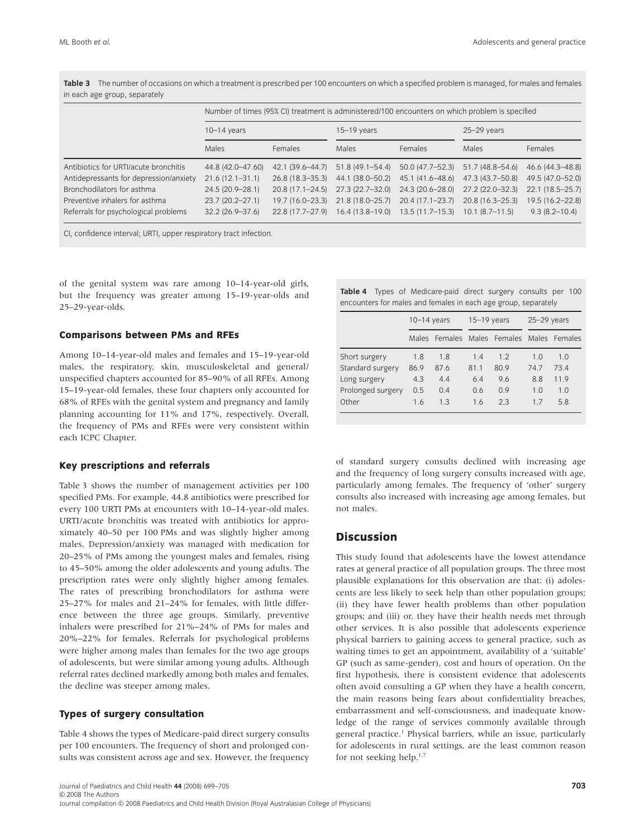Table 3 The number of occasions on which a treatment is prescribed per 100 encounters on which a specified problem is managed, for males and females in each age group, separately

|                                        | Number of times (95% CI) treatment is administered/100 encounters on which problem is specified |                  |                  |                                                                    |                                   |                   |  |
|----------------------------------------|-------------------------------------------------------------------------------------------------|------------------|------------------|--------------------------------------------------------------------|-----------------------------------|-------------------|--|
|                                        | $10-14$ years                                                                                   |                  | $15-19$ years    |                                                                    | $25 - 29$ years                   |                   |  |
|                                        | Males                                                                                           | <b>Females</b>   | Males            | <b>Females</b>                                                     | Males                             | <b>Females</b>    |  |
| Antibiotics for URTI/acute bronchitis  | 44.8 (42.0-47.60)                                                                               | 42.1 (39.6–44.7) | 51.8 (49.1–54.4) |                                                                    | 50.0 (47.7-52.3) 51.7 (48.8-54.6) | 46.6 (44.3-48.8)  |  |
| Antidepressants for depression/anxiety | $21.6(12.1 - 31.1)$                                                                             | 26.8 (18.3–35.3) | 44.1 (38.0–50.2) |                                                                    | 45.1 (41.6-48.6) 47.3 (43.7-50.8) | 49.5 (47.0-52.0)  |  |
| Bronchodilators for asthma             | 24.5 (20.9-28.1)                                                                                |                  |                  | 20.8 (17.1-24.5) 27.3 (22.7-32.0) 24.3 (20.6-28.0)                 | 27.2 (22.0–32.3)                  | 22.1 (18.5-25.7)  |  |
| Preventive inhalers for asthma         | $23.7(20.2 - 27.1)$                                                                             | 19.7 (16.0–23.3) | 21.8 (18.0–25.7) | 20.4 (17.1–23.7)                                                   | 20.8 (16.3–25.3)                  | 19.5 (16.2-22.8)  |  |
| Referrals for psychological problems   | 32.2 (26.9-37.6)                                                                                |                  |                  | 22.8 (17.7-27.9) 16.4 (13.8-19.0) 13.5 (11.7-15.3) 10.1 (8.7-11.5) |                                   | $9.3(8.2 - 10.4)$ |  |

CI, confidence interval; URTI, upper respiratory tract infection.

of the genital system was rare among 10–14-year-old girls, but the frequency was greater among 15–19-year-olds and 25–29-year-olds.

#### **Comparisons between PMs and RFEs**

Among 10–14-year-old males and females and 15–19-year-old males, the respiratory, skin, musculoskeletal and general/ unspecified chapters accounted for 85–90% of all RFEs. Among 15–19-year-old females, these four chapters only accounted for 68% of RFEs with the genital system and pregnancy and family planning accounting for 11% and 17%, respectively. Overall, the frequency of PMs and RFEs were very consistent within each ICPC Chapter.

#### **Key prescriptions and referrals**

Table 3 shows the number of management activities per 100 specified PMs. For example, 44.8 antibiotics were prescribed for every 100 URTI PMs at encounters with 10–14-year-old males. URTI/acute bronchitis was treated with antibiotics for approximately 40–50 per 100 PMs and was slightly higher among males. Depression/anxiety was managed with medication for 20–25% of PMs among the youngest males and females, rising to 45–50% among the older adolescents and young adults. The prescription rates were only slightly higher among females. The rates of prescribing bronchodilators for asthma were 25–27% for males and 21–24% for females, with little difference between the three age groups. Similarly, preventive inhalers were prescribed for 21%–24% of PMs for males and 20%–22% for females. Referrals for psychological problems were higher among males than females for the two age groups of adolescents, but were similar among young adults. Although referral rates declined markedly among both males and females, the decline was steeper among males.

#### **Types of surgery consultation**

Table 4 shows the types of Medicare-paid direct surgery consults per 100 encounters. The frequency of short and prolonged consults was consistent across age and sex. However, the frequency **Table 4** Types of Medicare-paid direct surgery consults per 100 encounters for males and females in each age group, separately

|                   | $10-14$ years |                                           | $15-19$ years |      | $25 - 29$ years |      |
|-------------------|---------------|-------------------------------------------|---------------|------|-----------------|------|
|                   |               | Males Females Males Females Males Females |               |      |                 |      |
| Short surgery     | 1.8           | 1.8                                       | 1.4           | 12   | 1.0             | 1.0  |
| Standard surgery  | 86.9          | 87.6                                      | 81.1          | 80.9 | 74.7            | 73.4 |
| Long surgery      | 4.3           | 4.4                                       | 6.4           | 9.6  | 8.8             | 11.9 |
| Prolonged surgery | 0.5           | 0.4                                       | 0.6           | 0.9  | 1.0             | 1.0  |
| Other             | 1.6           | 1.3                                       | 1.6           | 23   | 17              | 5.8  |

of standard surgery consults declined with increasing age and the frequency of long surgery consults increased with age, particularly among females. The frequency of 'other' surgery consults also increased with increasing age among females, but not males.

### **Discussion**

This study found that adolescents have the lowest attendance rates at general practice of all population groups. The three most plausible explanations for this observation are that: (i) adolescents are less likely to seek help than other population groups; (ii) they have fewer health problems than other population groups; and (iii) or, they have their health needs met through other services. It is also possible that adolescents experience physical barriers to gaining access to general practice, such as waiting times to get an appointment, availability of a 'suitable' GP (such as same-gender), cost and hours of operation. On the first hypothesis, there is consistent evidence that adolescents often avoid consulting a GP when they have a health concern, the main reasons being fears about confidentiality breaches, embarrassment and self-consciousness, and inadequate knowledge of the range of services commonly available through general practice.<sup>1</sup> Physical barriers, while an issue, particularly for adolescents in rural settings, are the least common reason for not seeking help.<sup>1,7</sup>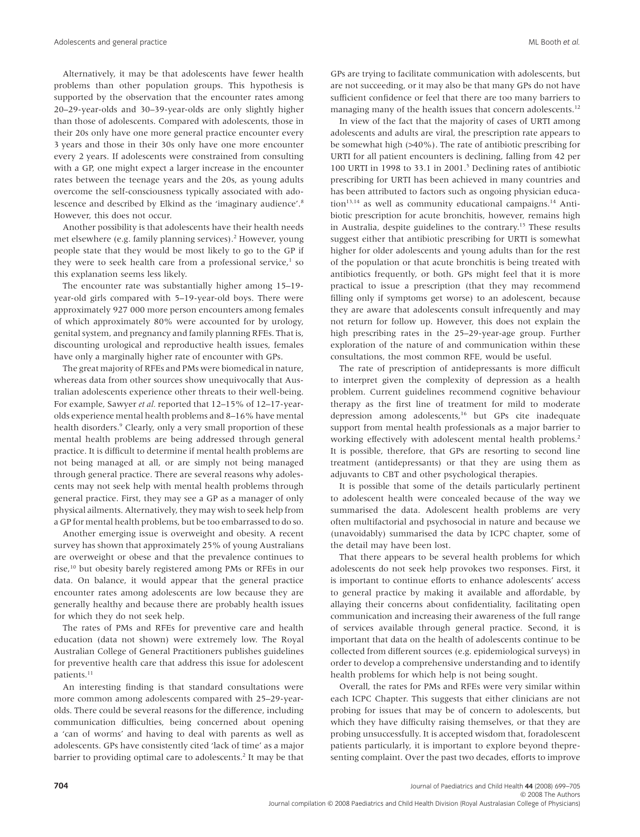Alternatively, it may be that adolescents have fewer health problems than other population groups. This hypothesis is supported by the observation that the encounter rates among 20–29-year-olds and 30–39-year-olds are only slightly higher than those of adolescents. Compared with adolescents, those in their 20s only have one more general practice encounter every 3 years and those in their 30s only have one more encounter every 2 years. If adolescents were constrained from consulting with a GP, one might expect a larger increase in the encounter rates between the teenage years and the 20s, as young adults overcome the self-consciousness typically associated with adolescence and described by Elkind as the 'imaginary audience'.8 However, this does not occur.

Another possibility is that adolescents have their health needs met elsewhere (e.g. family planning services).<sup>2</sup> However, young people state that they would be most likely to go to the GP if they were to seek health care from a professional service, $1$  so this explanation seems less likely.

The encounter rate was substantially higher among 15–19 year-old girls compared with 5–19-year-old boys. There were approximately 927 000 more person encounters among females of which approximately 80% were accounted for by urology, genital system, and pregnancy and family planning RFEs. That is, discounting urological and reproductive health issues, females have only a marginally higher rate of encounter with GPs.

The great majority of RFEs and PMs were biomedical in nature, whereas data from other sources show unequivocally that Australian adolescents experience other threats to their well-being. For example, Sawyer *et al.* reported that 12–15% of 12–17-yearolds experience mental health problems and 8–16% have mental health disorders.<sup>9</sup> Clearly, only a very small proportion of these mental health problems are being addressed through general practice. It is difficult to determine if mental health problems are not being managed at all, or are simply not being managed through general practice. There are several reasons why adolescents may not seek help with mental health problems through general practice. First, they may see a GP as a manager of only physical ailments. Alternatively, they may wish to seek help from a GP for mental health problems, but be too embarrassed to do so.

Another emerging issue is overweight and obesity. A recent survey has shown that approximately 25% of young Australians are overweight or obese and that the prevalence continues to rise,10 but obesity barely registered among PMs or RFEs in our data. On balance, it would appear that the general practice encounter rates among adolescents are low because they are generally healthy and because there are probably health issues for which they do not seek help.

The rates of PMs and RFEs for preventive care and health education (data not shown) were extremely low. The Royal Australian College of General Practitioners publishes guidelines for preventive health care that address this issue for adolescent patients.<sup>11</sup>

An interesting finding is that standard consultations were more common among adolescents compared with 25–29-yearolds. There could be several reasons for the difference, including communication difficulties, being concerned about opening a 'can of worms' and having to deal with parents as well as adolescents. GPs have consistently cited 'lack of time' as a major barrier to providing optimal care to adolescents.<sup>2</sup> It may be that GPs are trying to facilitate communication with adolescents, but are not succeeding, or it may also be that many GPs do not have sufficient confidence or feel that there are too many barriers to managing many of the health issues that concern adolescents.<sup>12</sup>

In view of the fact that the majority of cases of URTI among adolescents and adults are viral, the prescription rate appears to be somewhat high (>40%). The rate of antibiotic prescribing for URTI for all patient encounters is declining, falling from 42 per 100 URTI in 1998 to 33.1 in 2001.5 Declining rates of antibiotic prescribing for URTI has been achieved in many countries and has been attributed to factors such as ongoing physician education<sup>13,14</sup> as well as community educational campaigns.<sup>14</sup> Antibiotic prescription for acute bronchitis, however, remains high in Australia, despite guidelines to the contrary.15 These results suggest either that antibiotic prescribing for URTI is somewhat higher for older adolescents and young adults than for the rest of the population or that acute bronchitis is being treated with antibiotics frequently, or both. GPs might feel that it is more practical to issue a prescription (that they may recommend filling only if symptoms get worse) to an adolescent, because they are aware that adolescents consult infrequently and may not return for follow up. However, this does not explain the high prescribing rates in the 25–29-year-age group. Further exploration of the nature of and communication within these consultations, the most common RFE, would be useful.

The rate of prescription of antidepressants is more difficult to interpret given the complexity of depression as a health problem. Current guidelines recommend cognitive behaviour therapy as the first line of treatment for mild to moderate depression among adolescents,16 but GPs cite inadequate support from mental health professionals as a major barrier to working effectively with adolescent mental health problems.<sup>2</sup> It is possible, therefore, that GPs are resorting to second line treatment (antidepressants) or that they are using them as adjuvants to CBT and other psychological therapies.

It is possible that some of the details particularly pertinent to adolescent health were concealed because of the way we summarised the data. Adolescent health problems are very often multifactorial and psychosocial in nature and because we (unavoidably) summarised the data by ICPC chapter, some of the detail may have been lost.

That there appears to be several health problems for which adolescents do not seek help provokes two responses. First, it is important to continue efforts to enhance adolescents' access to general practice by making it available and affordable, by allaying their concerns about confidentiality, facilitating open communication and increasing their awareness of the full range of services available through general practice. Second, it is important that data on the health of adolescents continue to be collected from different sources (e.g. epidemiological surveys) in order to develop a comprehensive understanding and to identify health problems for which help is not being sought.

Overall, the rates for PMs and RFEs were very similar within each ICPC Chapter. This suggests that either clinicians are not probing for issues that may be of concern to adolescents, but which they have difficulty raising themselves, or that they are probing unsuccessfully. It is accepted wisdom that, foradolescent patients particularly, it is important to explore beyond thepresenting complaint. Over the past two decades, efforts to improve